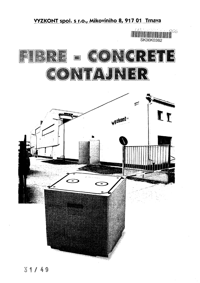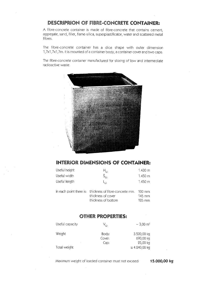### DESCRIPRION OF FIBRE-CONCRETE CONTAINER:

A fibre-concrete container is made of fibre-concrete that contains cement, aggregate, sand, filler, flame-silica, superplastificator, water and scattered metal fibres.

The fibre-concrete container has a dice shape with outer dimension 1,7x1,7x1,7m. It is mounted of a container body, a container cover and two caps.

The fibre-concrete container manufactured for storing of low and intermediate radioactive waste.



#### INTERIOR DIMENSIONS OF CONTAINER;

| Useful height | $H_{\rm He}$                                                                                          | $1.430 \text{ m}$                     |
|---------------|-------------------------------------------------------------------------------------------------------|---------------------------------------|
| Useful width  | Š.,                                                                                                   | 1.450 m                               |
| Useful length | ել լ.                                                                                                 | $1.450 \text{ m}$                     |
|               | In each point there is: thickness of fibre-concrete min.<br>thickness of cover<br>thickness of bottom | -100 mm<br>145 mm<br>$125 \text{ mm}$ |

#### **OTHER PROPERTIES:**

| Useful capacity | $\mathsf{V}_{\mathrm{IF}}$ | $\sim$ 3,00 m <sup>3</sup> |
|-----------------|----------------------------|----------------------------|
| Weight          | Body:<br>Cover:            | 3.500,00 kg<br>690,00 kg   |
|                 | Cap:                       | $25,00$ kg                 |
| Total weight    |                            | $\approx$ 4.240,00 kg      |

Maximum weight of loaded container must not exceed: 15.000,00 kg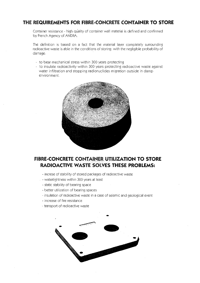### THE REQUIREMENTS FOR FIBRE-CONCRETE CONTAINER TO STORE

Container resistance - high quality of container wall material is defined and confirmed by French Agency of ANDRA.

The definition is based on a fact that the material layer completely surrounding radioactive waste is able in the conditions of storing with the negligible probability of damage:

- to bear mechanical stress within 300 years protecting
- to insulate radioactivity within 300 years protecting radioactive waste against water infiltration and stopping radionuclides migration outside in damp environment.



#### FIBRE-CONCRETE CONTAINER UTILIZATION TO STORE RADIOACTIVE WASTE SOLVES THESE PROBLEMS;

- increse of stability of stored packages of radioactive waste
- . watertightness within 300 years at least
- static stability of bearing space
- better utilization of bearing spaces
- insulation of radioactive waste in a case of seismic and geological event
- increase of fire resistance
- transport of radioactive waste